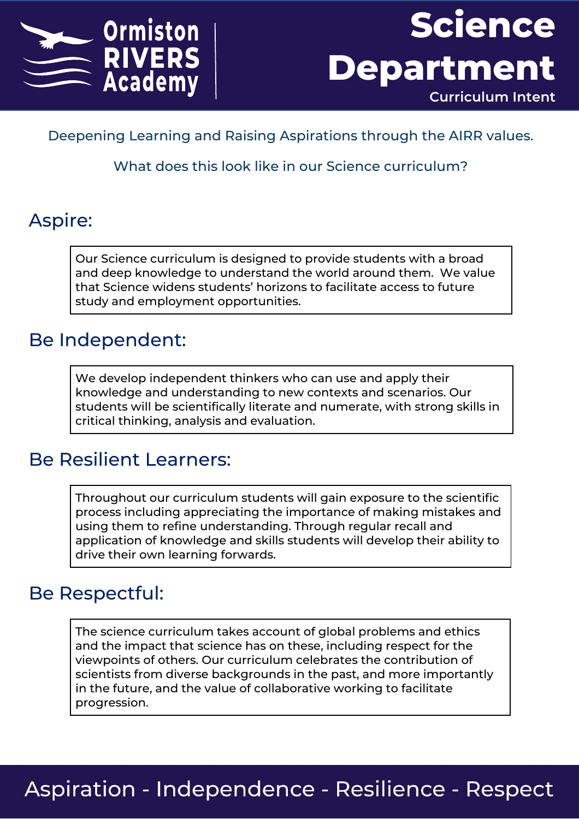



Deepening Learning and Raising Aspirations through the AIRR values.

What does this look like in our Science curriculum?

### Aspire:

Our Science curriculum is designed to provide students with a broad and deep knowledge to understand the world around them. We value that Science widens students' horizons to facilitate access to future study and employment opportunities.

### Be Independent:

We develop independent thinkers who can use and apply their knowledge and understanding to new contexts and scenarios. Our students will be scientifically literate and numerate, with strong skills in critical thinking, analysis and evaluation.

### Be Resilient Learners:

Throughout our curriculum students will gain exposure to the scientific process including appreciating the importance of making mistakes and using them to refine understanding. Through regular recall and application of knowledge and skills students will develop their ability to drive their own learning forwards.

### Be Respectful:

The science curriculum takes account of global problems and ethics and the impact that science has on these, including respect for the viewpoints of others. Our curriculum celebrates the contribution of scientists from diverse backgrounds in the past, and more importantly in the future, and the value of collaborative working to facilitate progression.

## Aspiration - Independence - Resilience - Respect